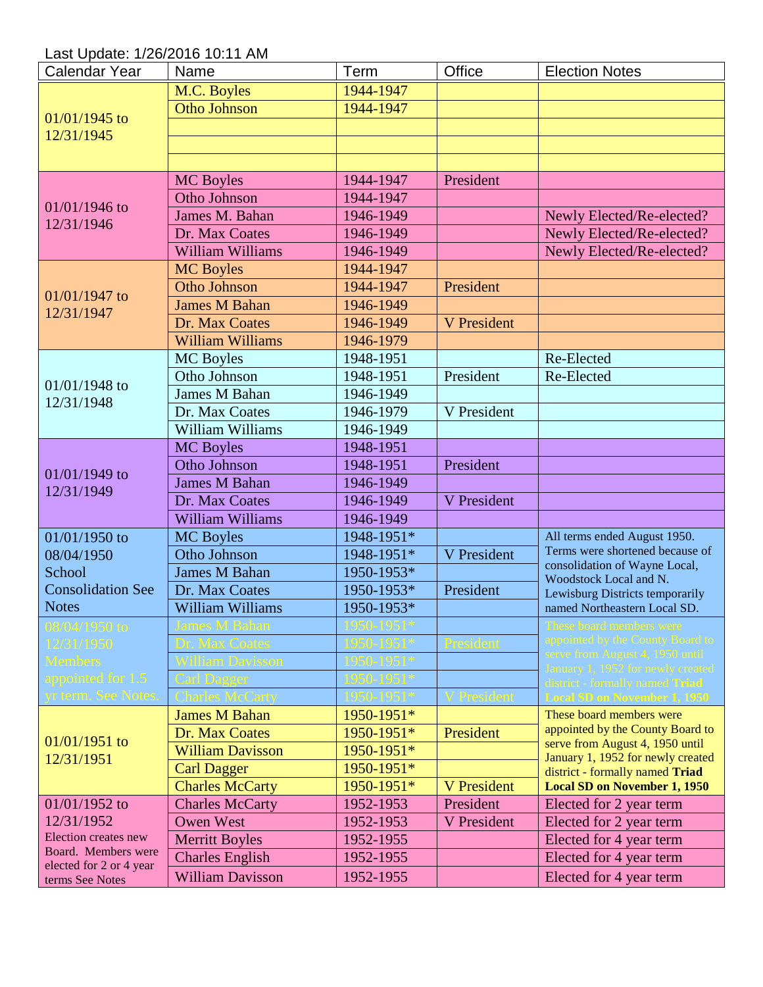Last Update: 1/26/2016 10:11 AM

| Calendar Year                              | Name                    | Term       | Office      | <b>Election Notes</b>                                                |
|--------------------------------------------|-------------------------|------------|-------------|----------------------------------------------------------------------|
| $01/01/1945$ to                            | M.C. Boyles             | 1944-1947  |             |                                                                      |
|                                            | <b>Otho Johnson</b>     | 1944-1947  |             |                                                                      |
|                                            |                         |            |             |                                                                      |
| 12/31/1945                                 |                         |            |             |                                                                      |
|                                            |                         |            |             |                                                                      |
|                                            | <b>MC</b> Boyles        | 1944-1947  | President   |                                                                      |
|                                            | Otho Johnson            | 1944-1947  |             |                                                                      |
| $01/01/1946$ to                            | James M. Bahan          | 1946-1949  |             | Newly Elected/Re-elected?                                            |
| 12/31/1946                                 | Dr. Max Coates          | 1946-1949  |             | Newly Elected/Re-elected?                                            |
|                                            | <b>William Williams</b> | 1946-1949  |             | Newly Elected/Re-elected?                                            |
|                                            | <b>MC</b> Boyles        | 1944-1947  |             |                                                                      |
|                                            | Otho Johnson            | 1944-1947  | President   |                                                                      |
| $01/01/1947$ to                            | <b>James M Bahan</b>    | 1946-1949  |             |                                                                      |
| 12/31/1947                                 | Dr. Max Coates          | 1946-1949  | V President |                                                                      |
|                                            | <b>William Williams</b> | 1946-1979  |             |                                                                      |
|                                            | <b>MC</b> Boyles        | 1948-1951  |             | Re-Elected                                                           |
|                                            | Otho Johnson            | 1948-1951  | President   | Re-Elected                                                           |
| $01/01/1948$ to                            | <b>James M Bahan</b>    | 1946-1949  |             |                                                                      |
| 12/31/1948                                 | Dr. Max Coates          | 1946-1979  | V President |                                                                      |
|                                            | William Williams        | 1946-1949  |             |                                                                      |
|                                            | <b>MC</b> Boyles        | 1948-1951  |             |                                                                      |
|                                            | Otho Johnson            | 1948-1951  | President   |                                                                      |
| $01/01/1949$ to<br>12/31/1949              | <b>James M Bahan</b>    | 1946-1949  |             |                                                                      |
|                                            | Dr. Max Coates          | 1946-1949  | V President |                                                                      |
|                                            | <b>William Williams</b> | 1946-1949  |             |                                                                      |
| 01/01/1950 to                              | <b>MC</b> Boyles        | 1948-1951* |             | All terms ended August 1950.                                         |
| 08/04/1950                                 | Otho Johnson            | 1948-1951* | V President | Terms were shortened because of                                      |
| School                                     | <b>James M Bahan</b>    | 1950-1953* |             | consolidation of Wayne Local,                                        |
| <b>Consolidation See</b>                   | Dr. Max Coates          | 1950-1953* | President   | Woodstock Local and N.<br>Lewisburg Districts temporarily            |
| <b>Notes</b>                               | William Williams        | 1950-1953* |             | named Northeastern Local SD.                                         |
| 08/04/1950 to                              |                         |            |             | These board members were                                             |
| 12/31/1950                                 |                         |            |             | appointed by the County Board to                                     |
| <b>Members</b>                             |                         |            |             | serve from August 4, 1950 until                                      |
| appointed for 1.5                          |                         |            |             | January 1, 1952 for newly created<br>district - formally named Triad |
| yr term. See Notes                         |                         |            |             | Local SD on November 1, 1950                                         |
|                                            | <b>James M Bahan</b>    | 1950-1951* |             | These board members were                                             |
|                                            | Dr. Max Coates          | 1950-1951* | President   | appointed by the County Board to                                     |
| $01/01/1951$ to                            | <b>William Davisson</b> | 1950-1951* |             | serve from August 4, 1950 until                                      |
| 12/31/1951                                 | <b>Carl Dagger</b>      | 1950-1951* |             | January 1, 1952 for newly created<br>district - formally named Triad |
|                                            | <b>Charles McCarty</b>  | 1950-1951* | V President | <b>Local SD on November 1, 1950</b>                                  |
| $01/01/1952$ to                            | <b>Charles McCarty</b>  | 1952-1953  | President   | Elected for 2 year term                                              |
| 12/31/1952                                 | <b>Owen West</b>        | 1952-1953  | V President | Elected for 2 year term                                              |
| <b>Election creates new</b>                | <b>Merritt Boyles</b>   | 1952-1955  |             | Elected for 4 year term                                              |
| Board. Members were                        | <b>Charles English</b>  | 1952-1955  |             | Elected for 4 year term                                              |
| elected for 2 or 4 year<br>terms See Notes | <b>William Davisson</b> | 1952-1955  |             | Elected for 4 year term                                              |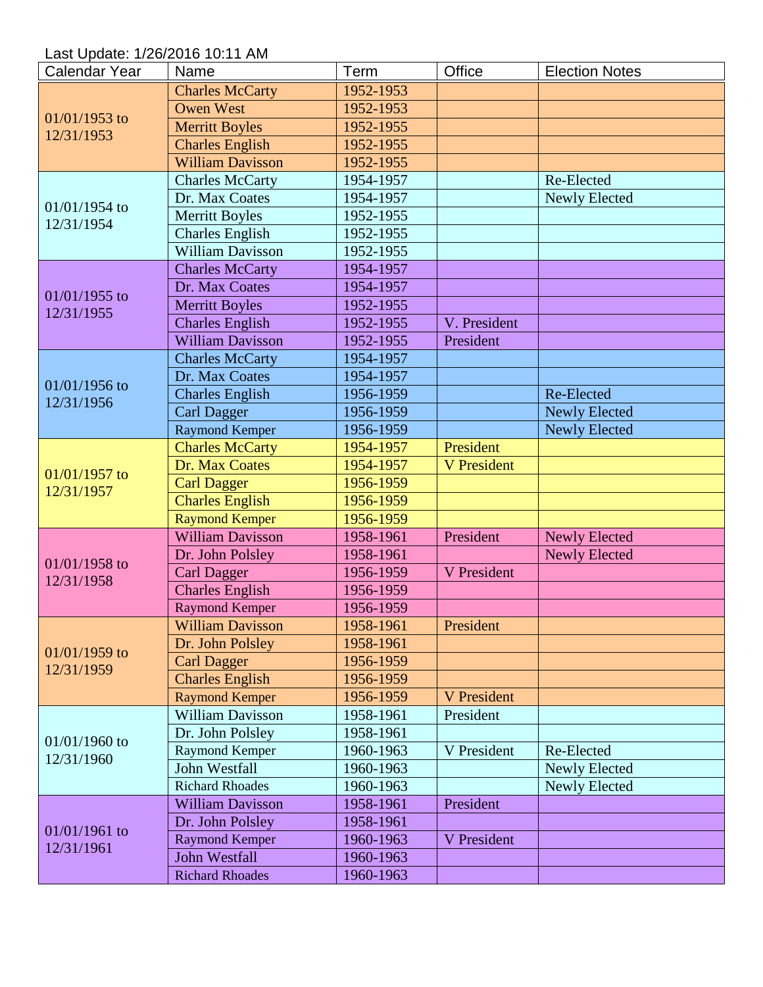Last Update: 1/26/2016 10:11 AM

| <b>Calendar Year</b> | Name                    | Term      | Office             | <b>Election Notes</b> |
|----------------------|-------------------------|-----------|--------------------|-----------------------|
| $01/01/1953$ to      | <b>Charles McCarty</b>  | 1952-1953 |                    |                       |
|                      | <b>Owen West</b>        | 1952-1953 |                    |                       |
|                      | <b>Merritt Boyles</b>   | 1952-1955 |                    |                       |
| 12/31/1953           | <b>Charles English</b>  | 1952-1955 |                    |                       |
|                      | <b>William Davisson</b> | 1952-1955 |                    |                       |
|                      | <b>Charles McCarty</b>  | 1954-1957 |                    | Re-Elected            |
|                      | Dr. Max Coates          | 1954-1957 |                    | Newly Elected         |
| 01/01/1954 to        | <b>Merritt Boyles</b>   | 1952-1955 |                    |                       |
| 12/31/1954           | <b>Charles English</b>  | 1952-1955 |                    |                       |
|                      | <b>William Davisson</b> | 1952-1955 |                    |                       |
|                      | <b>Charles McCarty</b>  | 1954-1957 |                    |                       |
|                      | Dr. Max Coates          | 1954-1957 |                    |                       |
| 01/01/1955 to        | <b>Merritt Boyles</b>   | 1952-1955 |                    |                       |
| 12/31/1955           | <b>Charles English</b>  | 1952-1955 | V. President       |                       |
|                      | <b>William Davisson</b> | 1952-1955 | President          |                       |
|                      | <b>Charles McCarty</b>  | 1954-1957 |                    |                       |
|                      | Dr. Max Coates          | 1954-1957 |                    |                       |
| $01/01/1956$ to      | <b>Charles English</b>  | 1956-1959 |                    | Re-Elected            |
| 12/31/1956           | <b>Carl Dagger</b>      | 1956-1959 |                    | <b>Newly Elected</b>  |
|                      | <b>Raymond Kemper</b>   | 1956-1959 |                    | <b>Newly Elected</b>  |
|                      | <b>Charles McCarty</b>  | 1954-1957 | President          |                       |
|                      | Dr. Max Coates          | 1954-1957 | <b>V</b> President |                       |
| 01/01/1957 to        | <b>Carl Dagger</b>      | 1956-1959 |                    |                       |
| 12/31/1957           | <b>Charles English</b>  | 1956-1959 |                    |                       |
|                      | <b>Raymond Kemper</b>   | 1956-1959 |                    |                       |
|                      | <b>William Davisson</b> | 1958-1961 | President          | <b>Newly Elected</b>  |
|                      | Dr. John Polsley        | 1958-1961 |                    | <b>Newly Elected</b>  |
| 01/01/1958 to        | <b>Carl Dagger</b>      | 1956-1959 | V President        |                       |
| 12/31/1958           | <b>Charles English</b>  | 1956-1959 |                    |                       |
|                      | <b>Raymond Kemper</b>   | 1956-1959 |                    |                       |
|                      | <b>William Davisson</b> | 1958-1961 | President          |                       |
|                      | Dr. John Polsley        | 1958-1961 |                    |                       |
| $01/01/1959$ to      | <b>Carl Dagger</b>      | 1956-1959 |                    |                       |
| 12/31/1959           | <b>Charles English</b>  | 1956-1959 |                    |                       |
|                      | <b>Raymond Kemper</b>   | 1956-1959 | <b>V</b> President |                       |
|                      | <b>William Davisson</b> | 1958-1961 | President          |                       |
|                      | Dr. John Polsley        | 1958-1961 |                    |                       |
| 01/01/1960 to        | Raymond Kemper          | 1960-1963 | V President        | Re-Elected            |
| 12/31/1960           | <b>John Westfall</b>    | 1960-1963 |                    | <b>Newly Elected</b>  |
|                      | <b>Richard Rhoades</b>  | 1960-1963 |                    | Newly Elected         |
|                      | <b>William Davisson</b> | 1958-1961 | President          |                       |
|                      | Dr. John Polsley        | 1958-1961 |                    |                       |
| 01/01/1961 to        | <b>Raymond Kemper</b>   | 1960-1963 | V President        |                       |
| 12/31/1961           | <b>John Westfall</b>    | 1960-1963 |                    |                       |
|                      | <b>Richard Rhoades</b>  | 1960-1963 |                    |                       |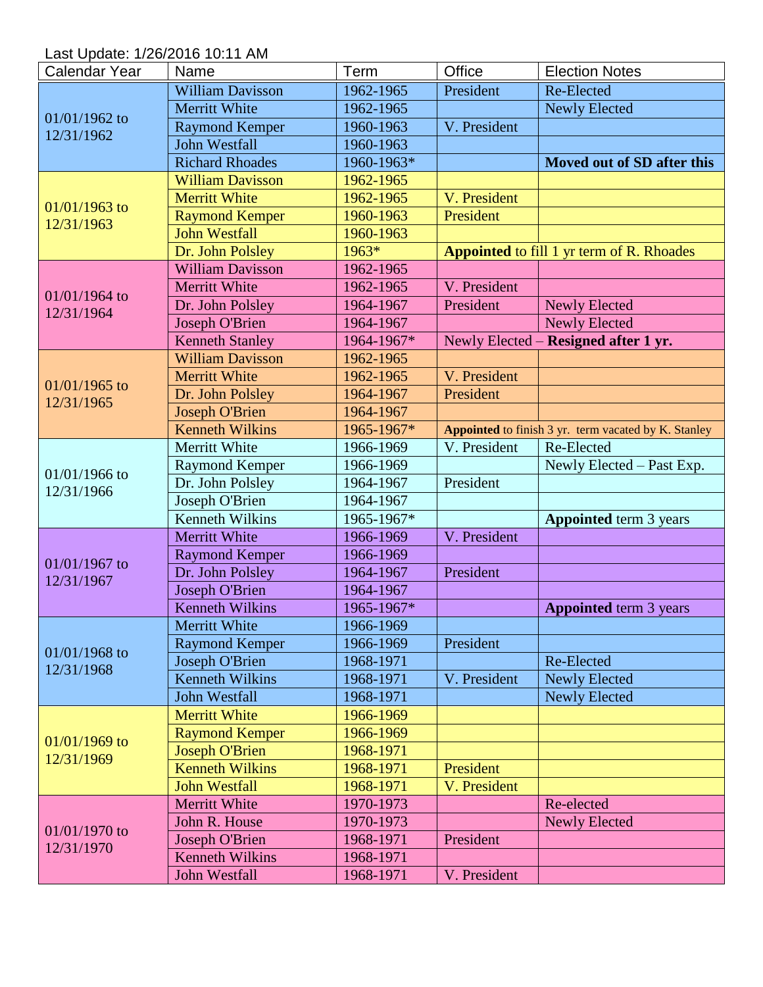Last Update: 1/26/2016 10:11 AM

| <b>Calendar Year</b> | Name                    | Term       | Office       | <b>Election Notes</b>                                |
|----------------------|-------------------------|------------|--------------|------------------------------------------------------|
| 01/01/1962 to        | <b>William Davisson</b> | 1962-1965  | President    | Re-Elected                                           |
|                      | <b>Merritt White</b>    | 1962-1965  |              | <b>Newly Elected</b>                                 |
|                      | <b>Raymond Kemper</b>   | 1960-1963  | V. President |                                                      |
| 12/31/1962           | <b>John Westfall</b>    | 1960-1963  |              |                                                      |
|                      | <b>Richard Rhoades</b>  | 1960-1963* |              | Moved out of SD after this                           |
|                      | <b>William Davisson</b> | 1962-1965  |              |                                                      |
|                      | <b>Merritt White</b>    | 1962-1965  | V. President |                                                      |
| $01/01/1963$ to      | <b>Raymond Kemper</b>   | 1960-1963  | President    |                                                      |
| 12/31/1963           | <b>John Westfall</b>    | 1960-1963  |              |                                                      |
|                      | Dr. John Polsley        | 1963*      |              | <b>Appointed</b> to fill 1 yr term of R. Rhoades     |
|                      | <b>William Davisson</b> | 1962-1965  |              |                                                      |
|                      | <b>Merritt White</b>    | 1962-1965  | V. President |                                                      |
| 01/01/1964 to        | Dr. John Polsley        | 1964-1967  | President    | <b>Newly Elected</b>                                 |
| 12/31/1964           | <b>Joseph O'Brien</b>   | 1964-1967  |              | <b>Newly Elected</b>                                 |
|                      | <b>Kenneth Stanley</b>  | 1964-1967* |              | Newly Elected - Resigned after 1 yr.                 |
|                      | <b>William Davisson</b> | 1962-1965  |              |                                                      |
|                      | <b>Merritt White</b>    | 1962-1965  | V. President |                                                      |
| $01/01/1965$ to      | Dr. John Polsley        | 1964-1967  | President    |                                                      |
| 12/31/1965           | <b>Joseph O'Brien</b>   | 1964-1967  |              |                                                      |
|                      | <b>Kenneth Wilkins</b>  | 1965-1967* |              | Appointed to finish 3 yr. term vacated by K. Stanley |
|                      | Merritt White           | 1966-1969  | V. President | Re-Elected                                           |
|                      | <b>Raymond Kemper</b>   | 1966-1969  |              | Newly Elected - Past Exp.                            |
| 01/01/1966 to        | Dr. John Polsley        | 1964-1967  | President    |                                                      |
| 12/31/1966           | Joseph O'Brien          | 1964-1967  |              |                                                      |
|                      | <b>Kenneth Wilkins</b>  | 1965-1967* |              | <b>Appointed</b> term 3 years                        |
|                      | <b>Merritt White</b>    | 1966-1969  | V. President |                                                      |
|                      | <b>Raymond Kemper</b>   | 1966-1969  |              |                                                      |
| $01/01/1967$ to      | Dr. John Polsley        | 1964-1967  | President    |                                                      |
| 12/31/1967           | <b>Joseph O'Brien</b>   | 1964-1967  |              |                                                      |
|                      | <b>Kenneth Wilkins</b>  | 1965-1967* |              | <b>Appointed</b> term 3 years                        |
|                      | <b>Merritt White</b>    | 1966-1969  |              |                                                      |
|                      | <b>Raymond Kemper</b>   | 1966-1969  | President    |                                                      |
| 01/01/1968 to        | Joseph O'Brien          | 1968-1971  |              | Re-Elected                                           |
| 12/31/1968           | <b>Kenneth Wilkins</b>  | 1968-1971  | V. President | <b>Newly Elected</b>                                 |
|                      | <b>John Westfall</b>    | 1968-1971  |              | <b>Newly Elected</b>                                 |
|                      | <b>Merritt White</b>    | 1966-1969  |              |                                                      |
| $01/01/1969$ to      | <b>Raymond Kemper</b>   | 1966-1969  |              |                                                      |
|                      | <b>Joseph O'Brien</b>   | 1968-1971  |              |                                                      |
| 12/31/1969           | <b>Kenneth Wilkins</b>  | 1968-1971  | President    |                                                      |
|                      | <b>John Westfall</b>    | 1968-1971  | V. President |                                                      |
|                      | <b>Merritt White</b>    | 1970-1973  |              | Re-elected                                           |
|                      | John R. House           | 1970-1973  |              | <b>Newly Elected</b>                                 |
| $01/01/1970$ to      | Joseph O'Brien          | 1968-1971  | President    |                                                      |
| 12/31/1970           | <b>Kenneth Wilkins</b>  | 1968-1971  |              |                                                      |
|                      | <b>John Westfall</b>    | 1968-1971  | V. President |                                                      |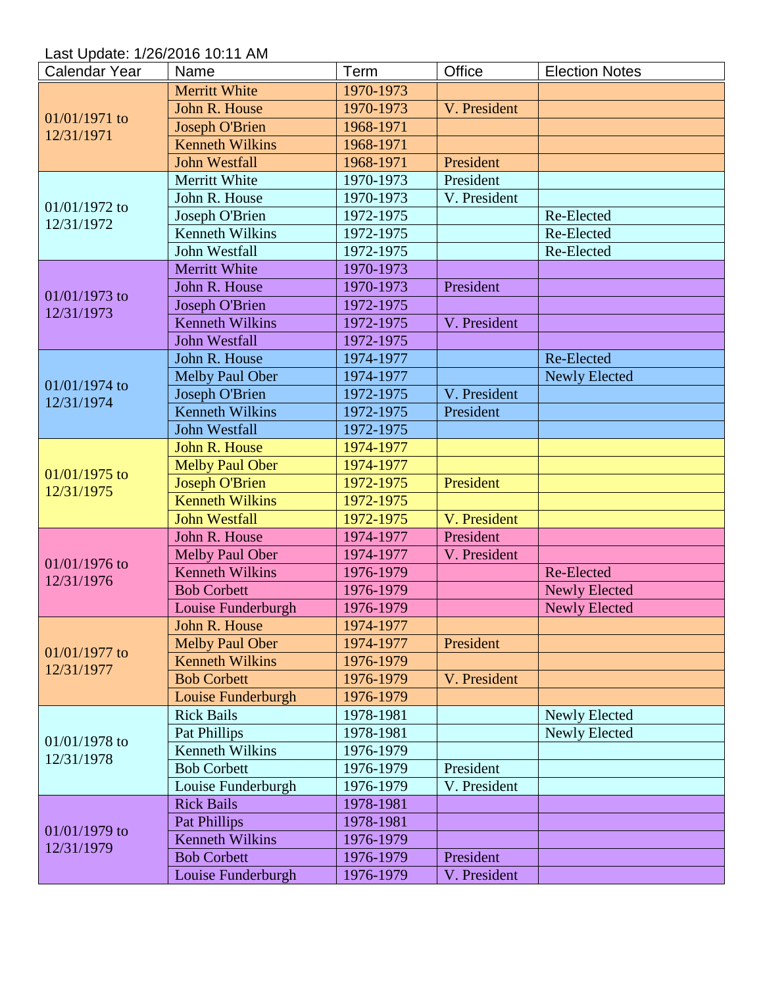Last Update: 1/26/2016 10:11 AM

| <b>Calendar Year</b> | Name                   | Term      | Office       | <b>Election Notes</b> |
|----------------------|------------------------|-----------|--------------|-----------------------|
| 01/01/1971 to        | <b>Merritt White</b>   | 1970-1973 |              |                       |
|                      | John R. House          | 1970-1973 | V. President |                       |
|                      | <b>Joseph O'Brien</b>  | 1968-1971 |              |                       |
| 12/31/1971           | <b>Kenneth Wilkins</b> | 1968-1971 |              |                       |
|                      | <b>John Westfall</b>   | 1968-1971 | President    |                       |
|                      | Merritt White          | 1970-1973 | President    |                       |
|                      | John R. House          | 1970-1973 | V. President |                       |
| 01/01/1972 to        | Joseph O'Brien         | 1972-1975 |              | Re-Elected            |
| 12/31/1972           | <b>Kenneth Wilkins</b> | 1972-1975 |              | Re-Elected            |
|                      | John Westfall          | 1972-1975 |              | Re-Elected            |
|                      | <b>Merritt White</b>   | 1970-1973 |              |                       |
|                      | John R. House          | 1970-1973 | President    |                       |
| $01/01/1973$ to      | Joseph O'Brien         | 1972-1975 |              |                       |
| 12/31/1973           | <b>Kenneth Wilkins</b> | 1972-1975 | V. President |                       |
|                      | <b>John Westfall</b>   | 1972-1975 |              |                       |
|                      | John R. House          | 1974-1977 |              | Re-Elected            |
|                      | <b>Melby Paul Ober</b> | 1974-1977 |              | <b>Newly Elected</b>  |
| 01/01/1974 to        | Joseph O'Brien         | 1972-1975 | V. President |                       |
| 12/31/1974           | <b>Kenneth Wilkins</b> | 1972-1975 | President    |                       |
|                      | <b>John Westfall</b>   | 1972-1975 |              |                       |
|                      | John R. House          | 1974-1977 |              |                       |
|                      | <b>Melby Paul Ober</b> | 1974-1977 |              |                       |
| $01/01/1975$ to      | <b>Joseph O'Brien</b>  | 1972-1975 | President    |                       |
| 12/31/1975           | <b>Kenneth Wilkins</b> | 1972-1975 |              |                       |
|                      | <b>John Westfall</b>   | 1972-1975 | V. President |                       |
|                      | John R. House          | 1974-1977 | President    |                       |
|                      | <b>Melby Paul Ober</b> | 1974-1977 | V. President |                       |
| 01/01/1976 to        | <b>Kenneth Wilkins</b> | 1976-1979 |              | Re-Elected            |
| 12/31/1976           | <b>Bob Corbett</b>     | 1976-1979 |              | <b>Newly Elected</b>  |
|                      | Louise Funderburgh     | 1976-1979 |              | <b>Newly Elected</b>  |
|                      | John R. House          | 1974-1977 |              |                       |
|                      | <b>Melby Paul Ober</b> | 1974-1977 | President    |                       |
| $01/01/1977$ to      | <b>Kenneth Wilkins</b> | 1976-1979 |              |                       |
| 12/31/1977           | <b>Bob Corbett</b>     | 1976-1979 | V. President |                       |
|                      | Louise Funderburgh     | 1976-1979 |              |                       |
|                      | <b>Rick Bails</b>      | 1978-1981 |              | <b>Newly Elected</b>  |
|                      | <b>Pat Phillips</b>    | 1978-1981 |              | Newly Elected         |
| $01/01/1978$ to      | <b>Kenneth Wilkins</b> | 1976-1979 |              |                       |
| 12/31/1978           | <b>Bob Corbett</b>     | 1976-1979 | President    |                       |
|                      | Louise Funderburgh     | 1976-1979 | V. President |                       |
|                      | <b>Rick Bails</b>      | 1978-1981 |              |                       |
|                      | <b>Pat Phillips</b>    | 1978-1981 |              |                       |
| $01/01/1979$ to      | <b>Kenneth Wilkins</b> | 1976-1979 |              |                       |
| 12/31/1979           | <b>Bob Corbett</b>     | 1976-1979 | President    |                       |
|                      | Louise Funderburgh     | 1976-1979 | V. President |                       |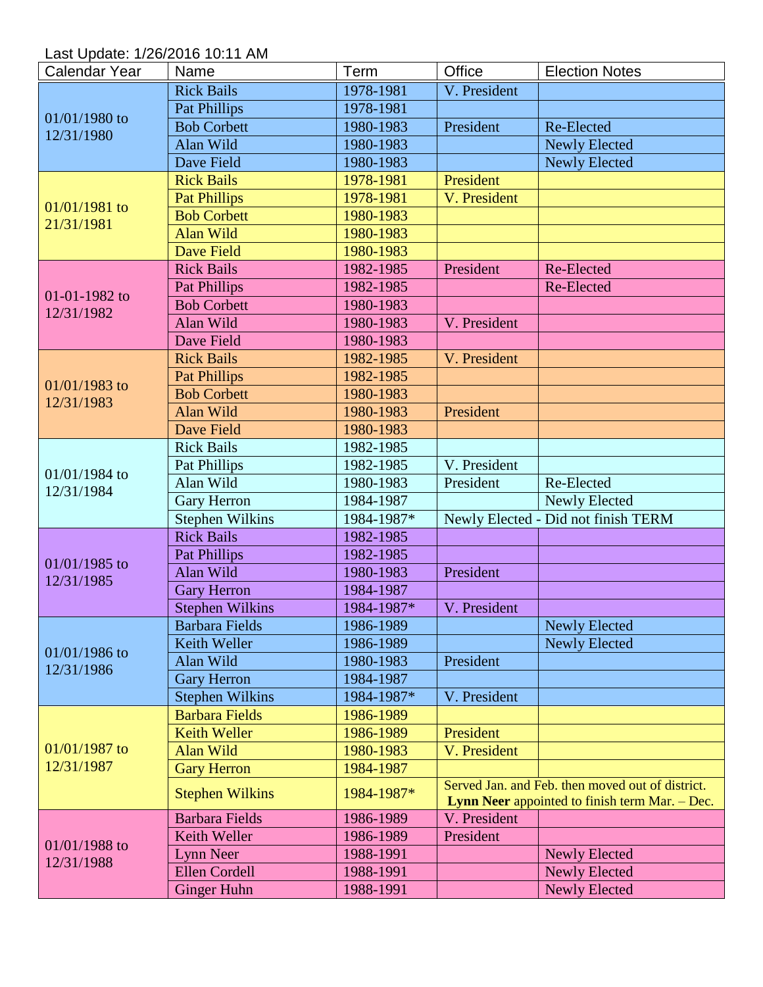Last Update: 1/26/2016 10:11 AM

| <b>Calendar Year</b> | Name                   | Term       | Office       | <b>Election Notes</b>                                                                              |
|----------------------|------------------------|------------|--------------|----------------------------------------------------------------------------------------------------|
| 01/01/1980 to        | <b>Rick Bails</b>      | 1978-1981  | V. President |                                                                                                    |
|                      | <b>Pat Phillips</b>    | 1978-1981  |              |                                                                                                    |
|                      | <b>Bob Corbett</b>     | 1980-1983  | President    | Re-Elected                                                                                         |
| 12/31/1980           | Alan Wild              | 1980-1983  |              | <b>Newly Elected</b>                                                                               |
|                      | Dave Field             | 1980-1983  |              | <b>Newly Elected</b>                                                                               |
|                      | <b>Rick Bails</b>      | 1978-1981  | President    |                                                                                                    |
|                      | <b>Pat Phillips</b>    | 1978-1981  | V. President |                                                                                                    |
| 01/01/1981 to        | <b>Bob Corbett</b>     | 1980-1983  |              |                                                                                                    |
| 21/31/1981           | <b>Alan Wild</b>       | 1980-1983  |              |                                                                                                    |
|                      | Dave Field             | 1980-1983  |              |                                                                                                    |
|                      | <b>Rick Bails</b>      | 1982-1985  | President    | Re-Elected                                                                                         |
|                      | <b>Pat Phillips</b>    | 1982-1985  |              | Re-Elected                                                                                         |
| 01-01-1982 to        | <b>Bob Corbett</b>     | 1980-1983  |              |                                                                                                    |
| 12/31/1982           | Alan Wild              | 1980-1983  | V. President |                                                                                                    |
|                      | Dave Field             | 1980-1983  |              |                                                                                                    |
|                      | <b>Rick Bails</b>      | 1982-1985  | V. President |                                                                                                    |
|                      | <b>Pat Phillips</b>    | 1982-1985  |              |                                                                                                    |
| $01/01/1983$ to      | <b>Bob Corbett</b>     | 1980-1983  |              |                                                                                                    |
| 12/31/1983           | Alan Wild              | 1980-1983  | President    |                                                                                                    |
|                      | Dave Field             | 1980-1983  |              |                                                                                                    |
|                      | <b>Rick Bails</b>      | 1982-1985  |              |                                                                                                    |
| 01/01/1984 to        | Pat Phillips           | 1982-1985  | V. President |                                                                                                    |
| 12/31/1984           | Alan Wild              | 1980-1983  | President    | Re-Elected                                                                                         |
|                      | <b>Gary Herron</b>     | 1984-1987  |              | <b>Newly Elected</b>                                                                               |
|                      | <b>Stephen Wilkins</b> | 1984-1987* |              | Newly Elected - Did not finish TERM                                                                |
|                      | <b>Rick Bails</b>      | 1982-1985  |              |                                                                                                    |
| 01/01/1985 to        | <b>Pat Phillips</b>    | 1982-1985  |              |                                                                                                    |
| 12/31/1985           | Alan Wild              | 1980-1983  | President    |                                                                                                    |
|                      | <b>Gary Herron</b>     | 1984-1987  |              |                                                                                                    |
|                      | <b>Stephen Wilkins</b> | 1984-1987* | V. President |                                                                                                    |
|                      | Barbara Fields         | 1986-1989  |              | Newly Elected                                                                                      |
| 01/01/1986 to        | Keith Weller           | 1986-1989  |              | <b>Newly Elected</b>                                                                               |
| 12/31/1986           | Alan Wild              | 1980-1983  | President    |                                                                                                    |
|                      | <b>Gary Herron</b>     | 1984-1987  |              |                                                                                                    |
|                      | <b>Stephen Wilkins</b> | 1984-1987* | V. President |                                                                                                    |
|                      | <b>Barbara Fields</b>  | 1986-1989  |              |                                                                                                    |
|                      | <b>Keith Weller</b>    | 1986-1989  | President    |                                                                                                    |
| 01/01/1987 to        | <b>Alan Wild</b>       | 1980-1983  | V. President |                                                                                                    |
| 12/31/1987           | <b>Gary Herron</b>     | 1984-1987  |              |                                                                                                    |
|                      | <b>Stephen Wilkins</b> | 1984-1987* |              | Served Jan, and Feb, then moved out of district.<br>Lynn Neer appointed to finish term Mar. - Dec. |
|                      | <b>Barbara Fields</b>  | 1986-1989  | V. President |                                                                                                    |
| $01/01/1988$ to      | Keith Weller           | 1986-1989  | President    |                                                                                                    |
| 12/31/1988           | <b>Lynn Neer</b>       | 1988-1991  |              | <b>Newly Elected</b>                                                                               |
|                      | <b>Ellen Cordell</b>   | 1988-1991  |              | <b>Newly Elected</b>                                                                               |
|                      | <b>Ginger Huhn</b>     | 1988-1991  |              | <b>Newly Elected</b>                                                                               |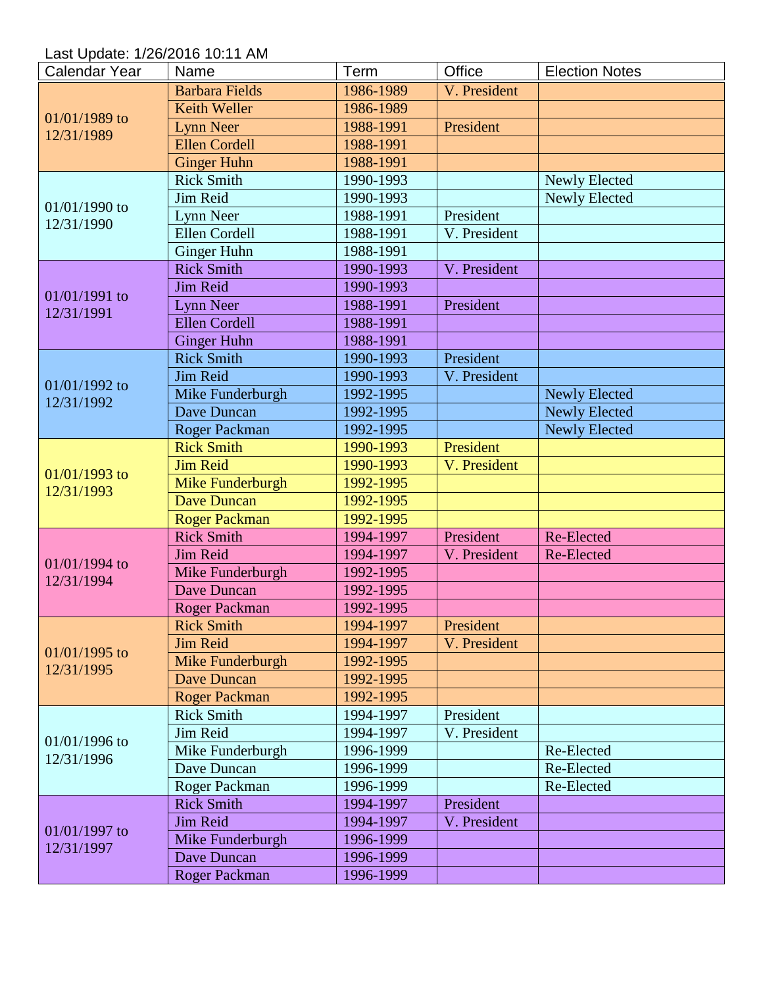Last Update: 1/26/2016 10:11 AM

| <b>Calendar Year</b>          | Name                  | Term      | Office       | <b>Election Notes</b> |
|-------------------------------|-----------------------|-----------|--------------|-----------------------|
| 01/01/1989 to<br>12/31/1989   | <b>Barbara Fields</b> | 1986-1989 | V. President |                       |
|                               | <b>Keith Weller</b>   | 1986-1989 |              |                       |
|                               | <b>Lynn Neer</b>      | 1988-1991 | President    |                       |
|                               | <b>Ellen Cordell</b>  | 1988-1991 |              |                       |
|                               | <b>Ginger Huhn</b>    | 1988-1991 |              |                       |
|                               | <b>Rick Smith</b>     | 1990-1993 |              | <b>Newly Elected</b>  |
|                               | Jim Reid              | 1990-1993 |              | <b>Newly Elected</b>  |
| 01/01/1990 to                 | Lynn Neer             | 1988-1991 | President    |                       |
| 12/31/1990                    | <b>Ellen Cordell</b>  | 1988-1991 | V. President |                       |
|                               | <b>Ginger Huhn</b>    | 1988-1991 |              |                       |
|                               | <b>Rick Smith</b>     | 1990-1993 | V. President |                       |
|                               | <b>Jim Reid</b>       | 1990-1993 |              |                       |
| 01/01/1991 to                 | <b>Lynn Neer</b>      | 1988-1991 | President    |                       |
| 12/31/1991                    | <b>Ellen Cordell</b>  | 1988-1991 |              |                       |
|                               | <b>Ginger Huhn</b>    | 1988-1991 |              |                       |
|                               | <b>Rick Smith</b>     | 1990-1993 | President    |                       |
|                               | <b>Jim Reid</b>       | 1990-1993 | V. President |                       |
| 01/01/1992 to                 | Mike Funderburgh      | 1992-1995 |              | <b>Newly Elected</b>  |
| 12/31/1992                    | Dave Duncan           | 1992-1995 |              | <b>Newly Elected</b>  |
|                               | <b>Roger Packman</b>  | 1992-1995 |              | <b>Newly Elected</b>  |
|                               | <b>Rick Smith</b>     | 1990-1993 | President    |                       |
|                               | <b>Jim Reid</b>       | 1990-1993 | V. President |                       |
| 01/01/1993 to                 | Mike Funderburgh      | 1992-1995 |              |                       |
| 12/31/1993                    | <b>Dave Duncan</b>    | 1992-1995 |              |                       |
|                               | <b>Roger Packman</b>  | 1992-1995 |              |                       |
|                               | <b>Rick Smith</b>     | 1994-1997 | President    | Re-Elected            |
|                               | <b>Jim Reid</b>       | 1994-1997 | V. President | Re-Elected            |
| 01/01/1994 to                 | Mike Funderburgh      | 1992-1995 |              |                       |
| 12/31/1994                    | <b>Dave Duncan</b>    | 1992-1995 |              |                       |
|                               | <b>Roger Packman</b>  | 1992-1995 |              |                       |
|                               | <b>Rick Smith</b>     | 1994-1997 | President    |                       |
|                               | <b>Jim Reid</b>       | 1994-1997 | V. President |                       |
| $01/01/1995$ to<br>12/31/1995 | Mike Funderburgh      | 1992-1995 |              |                       |
|                               | <b>Dave Duncan</b>    | 1992-1995 |              |                       |
|                               | <b>Roger Packman</b>  | 1992-1995 |              |                       |
|                               | <b>Rick Smith</b>     | 1994-1997 | President    |                       |
| $01/01/1996$ to               | Jim Reid              | 1994-1997 | V. President |                       |
|                               | Mike Funderburgh      | 1996-1999 |              | Re-Elected            |
| 12/31/1996                    | Dave Duncan           | 1996-1999 |              | Re-Elected            |
|                               | Roger Packman         | 1996-1999 |              | Re-Elected            |
|                               | <b>Rick Smith</b>     | 1994-1997 | President    |                       |
|                               | Jim Reid              | 1994-1997 | V. President |                       |
| 01/01/1997 to                 | Mike Funderburgh      | 1996-1999 |              |                       |
| 12/31/1997                    | Dave Duncan           | 1996-1999 |              |                       |
|                               | Roger Packman         | 1996-1999 |              |                       |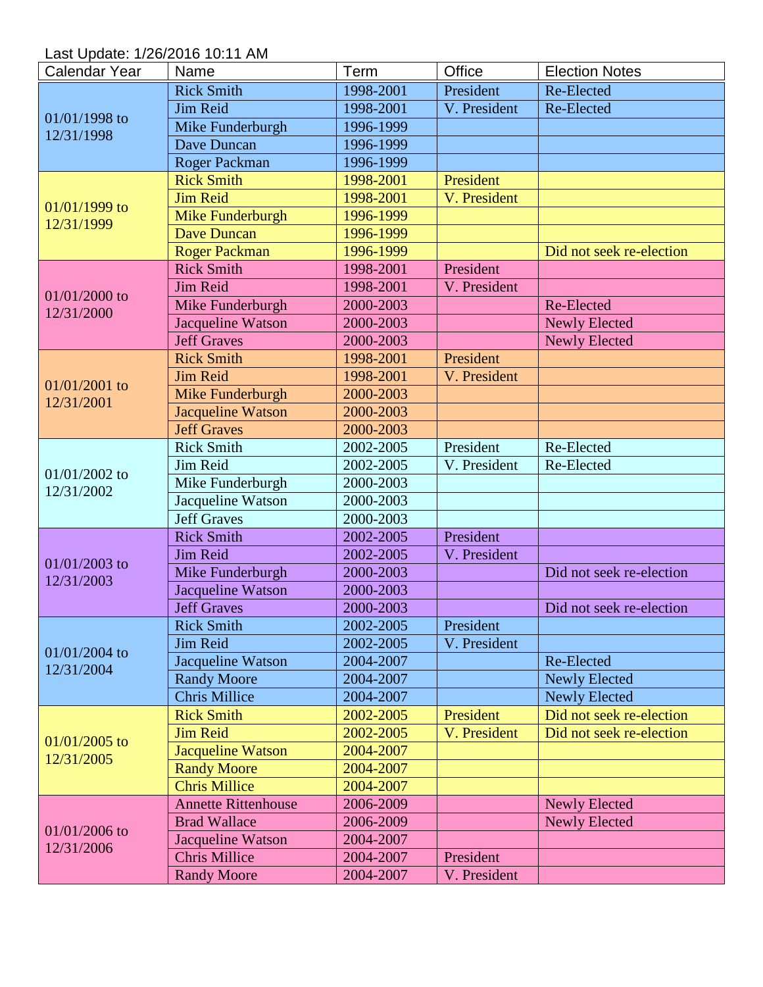Last Update: 1/26/2016 10:11 AM

| <b>Calendar Year</b>          | Name                       | Term      | Office       | <b>Election Notes</b>    |
|-------------------------------|----------------------------|-----------|--------------|--------------------------|
| 01/01/1998 to                 | <b>Rick Smith</b>          | 1998-2001 | President    | Re-Elected               |
|                               | Jim Reid                   | 1998-2001 | V. President | Re-Elected               |
|                               | Mike Funderburgh           | 1996-1999 |              |                          |
| 12/31/1998                    | Dave Duncan                | 1996-1999 |              |                          |
|                               | <b>Roger Packman</b>       | 1996-1999 |              |                          |
|                               | <b>Rick Smith</b>          | 1998-2001 | President    |                          |
|                               | <b>Jim Reid</b>            | 1998-2001 | V. President |                          |
| $01/01/1999$ to               | Mike Funderburgh           | 1996-1999 |              |                          |
| 12/31/1999                    | <b>Dave Duncan</b>         | 1996-1999 |              |                          |
|                               | <b>Roger Packman</b>       | 1996-1999 |              | Did not seek re-election |
|                               | <b>Rick Smith</b>          | 1998-2001 | President    |                          |
|                               | <b>Jim Reid</b>            | 1998-2001 | V. President |                          |
| 01/01/2000 to                 | Mike Funderburgh           | 2000-2003 |              | Re-Elected               |
| 12/31/2000                    | Jacqueline Watson          | 2000-2003 |              | <b>Newly Elected</b>     |
|                               | <b>Jeff Graves</b>         | 2000-2003 |              | <b>Newly Elected</b>     |
|                               | <b>Rick Smith</b>          | 1998-2001 | President    |                          |
|                               | <b>Jim Reid</b>            | 1998-2001 | V. President |                          |
| 01/01/2001 to                 | Mike Funderburgh           | 2000-2003 |              |                          |
| 12/31/2001                    | Jacqueline Watson          | 2000-2003 |              |                          |
|                               | <b>Jeff Graves</b>         | 2000-2003 |              |                          |
|                               | <b>Rick Smith</b>          | 2002-2005 | President    | Re-Elected               |
|                               | Jim Reid                   | 2002-2005 | V. President | Re-Elected               |
| 01/01/2002 to                 | Mike Funderburgh           | 2000-2003 |              |                          |
| 12/31/2002                    | Jacqueline Watson          | 2000-2003 |              |                          |
|                               | <b>Jeff Graves</b>         | 2000-2003 |              |                          |
|                               | <b>Rick Smith</b>          | 2002-2005 | President    |                          |
|                               | <b>Jim Reid</b>            | 2002-2005 | V. President |                          |
| 01/01/2003 to                 | Mike Funderburgh           | 2000-2003 |              | Did not seek re-election |
| 12/31/2003                    | Jacqueline Watson          | 2000-2003 |              |                          |
|                               | <b>Jeff Graves</b>         | 2000-2003 |              | Did not seek re-election |
|                               | <b>Rick Smith</b>          | 2002-2005 | President    |                          |
|                               | Jim Reid                   | 2002-2005 | V. President |                          |
| 01/01/2004 to                 | Jacqueline Watson          | 2004-2007 |              | Re-Elected               |
| 12/31/2004                    | <b>Randy Moore</b>         | 2004-2007 |              | <b>Newly Elected</b>     |
|                               | <b>Chris Millice</b>       | 2004-2007 |              | <b>Newly Elected</b>     |
|                               | <b>Rick Smith</b>          | 2002-2005 | President    | Did not seek re-election |
|                               | <b>Jim Reid</b>            | 2002-2005 | V. President | Did not seek re-election |
| $01/01/2005$ to<br>12/31/2005 | <b>Jacqueline Watson</b>   | 2004-2007 |              |                          |
|                               | <b>Randy Moore</b>         | 2004-2007 |              |                          |
|                               | <b>Chris Millice</b>       | 2004-2007 |              |                          |
|                               | <b>Annette Rittenhouse</b> | 2006-2009 |              | <b>Newly Elected</b>     |
|                               | <b>Brad Wallace</b>        | 2006-2009 |              | <b>Newly Elected</b>     |
| 01/01/2006 to                 | Jacqueline Watson          | 2004-2007 |              |                          |
| 12/31/2006                    | <b>Chris Millice</b>       | 2004-2007 | President    |                          |
|                               | <b>Randy Moore</b>         | 2004-2007 | V. President |                          |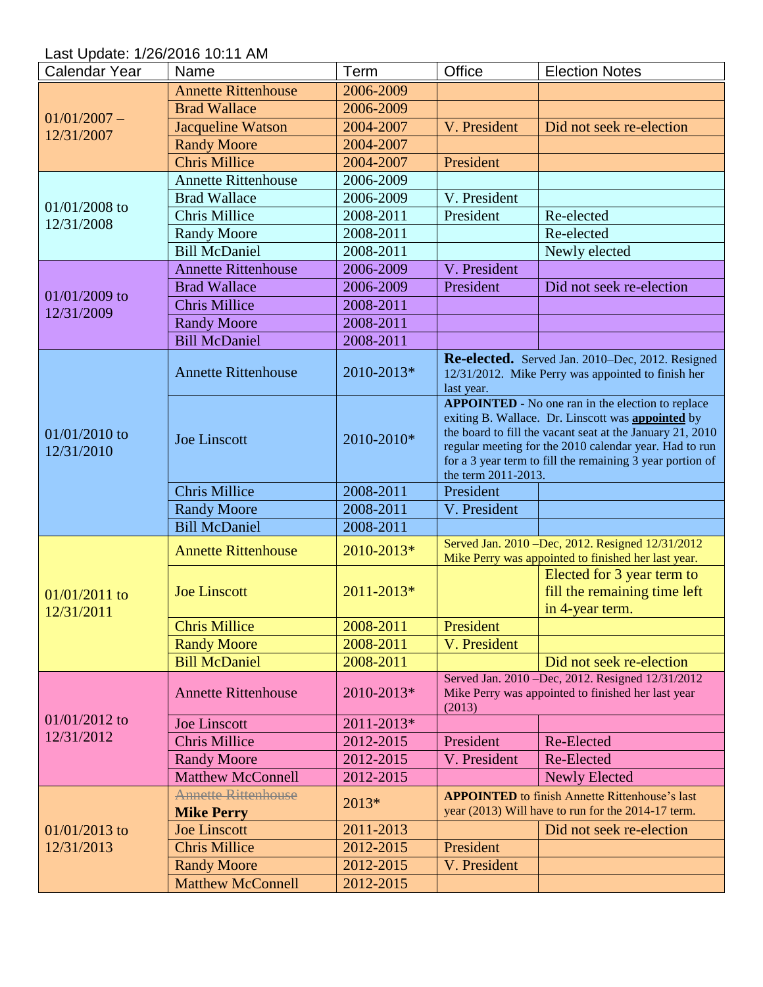Last Update: 1/26/2016 10:11 AM

| <b>Calendar Year</b>        | Name                                            | Term                   | Office                                                                                                                                                                                                                                                                                                                          | <b>Election Notes</b>                                                                                       |
|-----------------------------|-------------------------------------------------|------------------------|---------------------------------------------------------------------------------------------------------------------------------------------------------------------------------------------------------------------------------------------------------------------------------------------------------------------------------|-------------------------------------------------------------------------------------------------------------|
|                             | <b>Annette Rittenhouse</b>                      | 2006-2009              |                                                                                                                                                                                                                                                                                                                                 |                                                                                                             |
|                             | <b>Brad Wallace</b>                             | 2006-2009              |                                                                                                                                                                                                                                                                                                                                 |                                                                                                             |
| $01/01/2007 -$              | <b>Jacqueline Watson</b>                        | 2004-2007              | V. President                                                                                                                                                                                                                                                                                                                    | Did not seek re-election                                                                                    |
| 12/31/2007                  | <b>Randy Moore</b>                              | 2004-2007              |                                                                                                                                                                                                                                                                                                                                 |                                                                                                             |
|                             | <b>Chris Millice</b>                            | 2004-2007              | President                                                                                                                                                                                                                                                                                                                       |                                                                                                             |
|                             | <b>Annette Rittenhouse</b>                      | 2006-2009              |                                                                                                                                                                                                                                                                                                                                 |                                                                                                             |
|                             | <b>Brad Wallace</b>                             | 2006-2009              | V. President                                                                                                                                                                                                                                                                                                                    |                                                                                                             |
| $01/01/2008$ to             | <b>Chris Millice</b>                            | 2008-2011              | President                                                                                                                                                                                                                                                                                                                       | Re-elected                                                                                                  |
| 12/31/2008                  | <b>Randy Moore</b>                              | 2008-2011              |                                                                                                                                                                                                                                                                                                                                 | Re-elected                                                                                                  |
|                             | <b>Bill McDaniel</b>                            | 2008-2011              |                                                                                                                                                                                                                                                                                                                                 | Newly elected                                                                                               |
|                             | <b>Annette Rittenhouse</b>                      | 2006-2009              | V. President                                                                                                                                                                                                                                                                                                                    |                                                                                                             |
|                             | <b>Brad Wallace</b>                             | 2006-2009              | President                                                                                                                                                                                                                                                                                                                       | Did not seek re-election                                                                                    |
| $01/01/2009$ to             | <b>Chris Millice</b>                            | 2008-2011              |                                                                                                                                                                                                                                                                                                                                 |                                                                                                             |
| 12/31/2009                  | <b>Randy Moore</b>                              | 2008-2011              |                                                                                                                                                                                                                                                                                                                                 |                                                                                                             |
|                             | <b>Bill McDaniel</b>                            | 2008-2011              |                                                                                                                                                                                                                                                                                                                                 |                                                                                                             |
|                             | <b>Annette Rittenhouse</b>                      | 2010-2013*             | last year.                                                                                                                                                                                                                                                                                                                      | Re-elected. Served Jan. 2010–Dec, 2012. Resigned<br>12/31/2012. Mike Perry was appointed to finish her      |
| 01/01/2010 to<br>12/31/2010 | <b>Joe Linscott</b>                             | 2010-2010*             | <b>APPOINTED</b> - No one ran in the election to replace<br>exiting B. Wallace. Dr. Linscott was <b>appointed</b> by<br>the board to fill the vacant seat at the January 21, 2010<br>regular meeting for the 2010 calendar year. Had to run<br>for a 3 year term to fill the remaining 3 year portion of<br>the term 2011-2013. |                                                                                                             |
|                             | <b>Chris Millice</b>                            | 2008-2011              | President                                                                                                                                                                                                                                                                                                                       |                                                                                                             |
|                             | <b>Randy Moore</b>                              | 2008-2011              | V. President                                                                                                                                                                                                                                                                                                                    |                                                                                                             |
|                             |                                                 |                        |                                                                                                                                                                                                                                                                                                                                 |                                                                                                             |
|                             | <b>Bill McDaniel</b>                            | 2008-2011              |                                                                                                                                                                                                                                                                                                                                 |                                                                                                             |
|                             | <b>Annette Rittenhouse</b>                      | 2010-2013*             |                                                                                                                                                                                                                                                                                                                                 | Served Jan. 2010 -Dec, 2012. Resigned 12/31/2012<br>Mike Perry was appointed to finished her last year.     |
| $01/01/2011$ to             | <b>Joe Linscott</b>                             | 2011-2013*             |                                                                                                                                                                                                                                                                                                                                 | Elected for 3 year term to<br>fill the remaining time left<br>in 4-year term.                               |
| 12/31/2011                  | <b>Chris Millice</b>                            | 2008-2011              | President                                                                                                                                                                                                                                                                                                                       |                                                                                                             |
|                             | <b>Randy Moore</b>                              | 2008-2011              | V. President                                                                                                                                                                                                                                                                                                                    |                                                                                                             |
|                             | <b>Bill McDaniel</b>                            | 2008-2011              |                                                                                                                                                                                                                                                                                                                                 | Did not seek re-election                                                                                    |
|                             | <b>Annette Rittenhouse</b>                      | 2010-2013*             | (2013)                                                                                                                                                                                                                                                                                                                          | Served Jan. 2010 - Dec, 2012. Resigned 12/31/2012<br>Mike Perry was appointed to finished her last year     |
| $01/01/2012$ to             | <b>Joe Linscott</b>                             | 2011-2013*             |                                                                                                                                                                                                                                                                                                                                 |                                                                                                             |
| 12/31/2012                  | <b>Chris Millice</b>                            | 2012-2015              | President                                                                                                                                                                                                                                                                                                                       | Re-Elected                                                                                                  |
|                             | <b>Randy Moore</b>                              | 2012-2015              | V. President                                                                                                                                                                                                                                                                                                                    | Re-Elected                                                                                                  |
|                             | <b>Matthew McConnell</b>                        | 2012-2015              |                                                                                                                                                                                                                                                                                                                                 | <b>Newly Elected</b>                                                                                        |
|                             | <b>Annette Rittenhouse</b><br><b>Mike Perry</b> | 2013*                  |                                                                                                                                                                                                                                                                                                                                 | <b>APPOINTED</b> to finish Annette Rittenhouse's last<br>year (2013) Will have to run for the 2014-17 term. |
| $01/01/2013$ to             | <b>Joe Linscott</b>                             | 2011-2013              |                                                                                                                                                                                                                                                                                                                                 | Did not seek re-election                                                                                    |
| 12/31/2013                  | <b>Chris Millice</b>                            | 2012-2015              | President                                                                                                                                                                                                                                                                                                                       |                                                                                                             |
|                             | <b>Randy Moore</b><br><b>Matthew McConnell</b>  | 2012-2015<br>2012-2015 | V. President                                                                                                                                                                                                                                                                                                                    |                                                                                                             |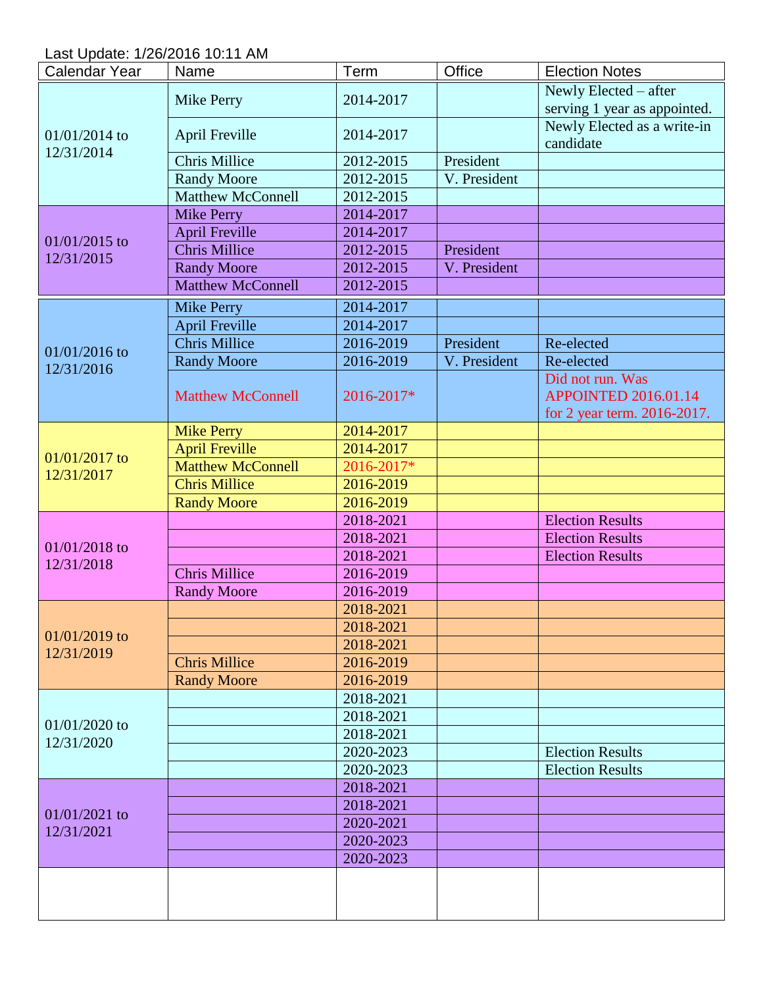Last Update: 1/26/2016 10:11 AM

| <b>Calendar Year</b>          | Name                     | Term       | Office       | <b>Election Notes</b>        |
|-------------------------------|--------------------------|------------|--------------|------------------------------|
|                               | <b>Mike Perry</b>        |            |              | Newly Elected – after        |
|                               |                          | 2014-2017  |              | serving 1 year as appointed. |
|                               |                          |            |              | Newly Elected as a write-in  |
| 01/01/2014 to<br>12/31/2014   | <b>April Freville</b>    | 2014-2017  |              | candidate                    |
|                               | <b>Chris Millice</b>     | 2012-2015  | President    |                              |
|                               | <b>Randy Moore</b>       | 2012-2015  | V. President |                              |
|                               | <b>Matthew McConnell</b> | 2012-2015  |              |                              |
|                               | <b>Mike Perry</b>        | 2014-2017  |              |                              |
| $01/01/2015$ to               | <b>April Freville</b>    | 2014-2017  |              |                              |
| 12/31/2015                    | <b>Chris Millice</b>     | 2012-2015  | President    |                              |
|                               | <b>Randy Moore</b>       | 2012-2015  | V. President |                              |
|                               | <b>Matthew McConnell</b> | 2012-2015  |              |                              |
|                               | <b>Mike Perry</b>        | 2014-2017  |              |                              |
|                               | <b>April Freville</b>    | 2014-2017  |              |                              |
|                               | <b>Chris Millice</b>     | 2016-2019  | President    | Re-elected                   |
| 01/01/2016 to                 | <b>Randy Moore</b>       | 2016-2019  | V. President | Re-elected                   |
| 12/31/2016                    |                          |            |              | Did not run. Was             |
|                               | <b>Matthew McConnell</b> | 2016-2017* |              | <b>APPOINTED 2016.01.14</b>  |
|                               |                          |            |              | for 2 year term. 2016-2017.  |
|                               | <b>Mike Perry</b>        | 2014-2017  |              |                              |
|                               | <b>April Freville</b>    | 2014-2017  |              |                              |
| 01/01/2017 to                 | <b>Matthew McConnell</b> | 2016-2017* |              |                              |
| 12/31/2017                    | <b>Chris Millice</b>     | 2016-2019  |              |                              |
|                               | <b>Randy Moore</b>       | 2016-2019  |              |                              |
|                               |                          | 2018-2021  |              | <b>Election Results</b>      |
|                               |                          | 2018-2021  |              | <b>Election Results</b>      |
| 01/01/2018 to<br>12/31/2018   |                          | 2018-2021  |              | <b>Election Results</b>      |
|                               | <b>Chris Millice</b>     | 2016-2019  |              |                              |
|                               | <b>Randy Moore</b>       | 2016-2019  |              |                              |
|                               |                          | 2018-2021  |              |                              |
|                               |                          | 2018-2021  |              |                              |
| $01/01/2019$ to<br>12/31/2019 |                          | 2018-2021  |              |                              |
|                               | <b>Chris Millice</b>     | 2016-2019  |              |                              |
|                               | <b>Randy Moore</b>       | 2016-2019  |              |                              |
|                               |                          | 2018-2021  |              |                              |
|                               |                          | 2018-2021  |              |                              |
| 01/01/2020 to<br>12/31/2020   |                          | 2018-2021  |              |                              |
|                               |                          | 2020-2023  |              | <b>Election Results</b>      |
|                               |                          | 2020-2023  |              | <b>Election Results</b>      |
|                               |                          | 2018-2021  |              |                              |
| 01/01/2021 to                 |                          | 2018-2021  |              |                              |
| 12/31/2021                    |                          | 2020-2021  |              |                              |
|                               |                          | 2020-2023  |              |                              |
|                               |                          | 2020-2023  |              |                              |
|                               |                          |            |              |                              |
|                               |                          |            |              |                              |
|                               |                          |            |              |                              |